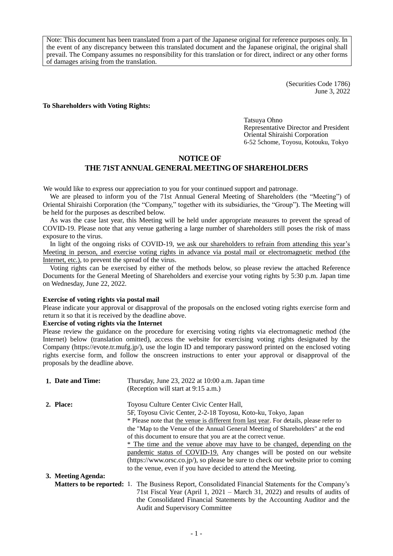Note: This document has been translated from a part of the Japanese original for reference purposes only. In the event of any discrepancy between this translated document and the Japanese original, the original shall prevail. The Company assumes no responsibility for this translation or for direct, indirect or any other forms of damages arising from the translation.

> (Securities Code 1786) June 3, 2022

### **To Shareholders with Voting Rights:**

Tatsuya Ohno Representative Director and President Oriental Shiraishi Corporation 6-52 5chome, Toyosu, Kotouku, Tokyo

### **NOTICE OF**

# **THE 71STANNUAL GENERAL MEETING OF SHAREHOLDERS**

We would like to express our appreciation to you for your continued support and patronage.

We are pleased to inform you of the 71st Annual General Meeting of Shareholders (the "Meeting") of Oriental Shiraishi Corporation (the "Company," together with its subsidiaries, the "Group"). The Meeting will be held for the purposes as described below.

As was the case last year, this Meeting will be held under appropriate measures to prevent the spread of COVID-19. Please note that any venue gathering a large number of shareholders still poses the risk of mass exposure to the virus.

In light of the ongoing risks of COVID-19, we ask our shareholders to refrain from attending this year's Meeting in person, and exercise voting rights in advance via postal mail or electromagnetic method (the Internet, etc.), to prevent the spread of the virus.

Voting rights can be exercised by either of the methods below, so please review the attached Reference Documents for the General Meeting of Shareholders and exercise your voting rights by 5:30 p.m. Japan time on Wednesday, June 22, 2022.

### **Exercise of voting rights via postal mail**

Please indicate your approval or disapproval of the proposals on the enclosed voting rights exercise form and return it so that it is received by the deadline above.

### **Exercise of voting rights via the Internet**

Please review the guidance on the procedure for exercising voting rights via electromagnetic method (the Internet) below (translation omitted), access the website for exercising voting rights designated by the Company [\(https://evote.tr.mufg.jp/\)](https://evote.tr.mufg.jp/), use the login ID and temporary password printed on the enclosed voting rights exercise form, and follow the onscreen instructions to enter your approval or disapproval of the proposals by the deadline above.

| 1. Date and Time:  | Thursday, June 23, 2022 at 10:00 a.m. Japan time                                                           |
|--------------------|------------------------------------------------------------------------------------------------------------|
|                    | (Reception will start at 9:15 a.m.)                                                                        |
| 2. Place:          | Toyosu Culture Center Civic Center Hall,                                                                   |
|                    | 5F, Toyosu Civic Center, 2-2-18 Toyosu, Koto-ku, Tokyo, Japan                                              |
|                    | * Please note that the venue is different from last year. For details, please refer to                     |
|                    | the "Map to the Venue of the Annual General Meeting of Shareholders" at the end                            |
|                    | of this document to ensure that you are at the correct venue.                                              |
|                    | * The time and the venue above may have to be changed, depending on the                                    |
|                    | pandemic status of COVID-19. Any changes will be posted on our website                                     |
|                    | $(\text{https://www.orsc.co.jp/})$ , so please be sure to check our website prior to coming                |
|                    | to the venue, even if you have decided to attend the Meeting.                                              |
| 3. Meeting Agenda: |                                                                                                            |
|                    | <b>Matters to be reported:</b> 1. The Business Report, Consolidated Financial Statements for the Company's |
|                    | 71st Fiscal Year (April 1, $2021 - \text{March } 31$ , 2022) and results of audits of                      |
|                    | the Consolidated Financial Statements by the Accounting Auditor and the                                    |

the Consolidated Financial Statements by the Accounting Auditor and the Audit and Supervisory Committee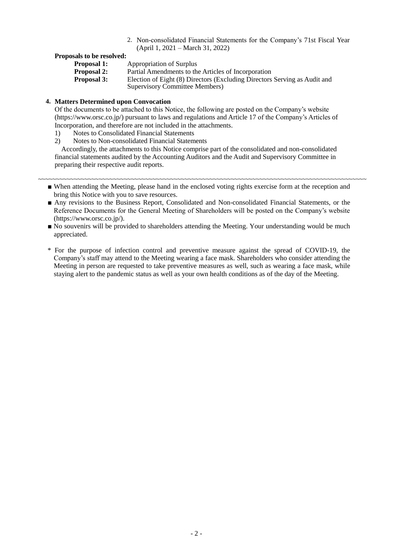2. Non-consolidated Financial Statements for the Company's 71st Fiscal Year (April 1, 2021 – March 31, 2022)

## **Proposals to be resolved:**

- **Proposal 1:** Appropriation of Surplus
- **Proposal 2:** Partial Amendments to the Articles of Incorporation

**Proposal 3:** Election of Eight (8) Directors (Excluding Directors Serving as Audit and Supervisory Committee Members)

### **4. Matters Determined upon Convocation**

Of the documents to be attached to this Notice, the following are posted on the Company's website (https://www.orsc.co.jp/) pursuant to laws and regulations and Article 17 of the Company's Articles of Incorporation, and therefore are not included in the attachments.

- 1) Notes to Consolidated Financial Statements
- 2) Notes to Non-consolidated Financial Statements

Accordingly, the attachments to this Notice comprise part of the consolidated and non-consolidated financial statements audited by the Accounting Auditors and the Audit and Supervisory Committee in preparing their respective audit reports.

#### ~~~~~~~~~~~~~~~~~~~~~~~~~~~~~~~~~~~~~~~~~~~~~~~~~~~~~~~~~~~~~~~~~~~~~~~~~~~~~~~~~~~~~~~~~~~~

- When attending the Meeting, please hand in the enclosed voting rights exercise form at the reception and bring this Notice with you to save resources.
- Any revisions to the Business Report, Consolidated and Non-consolidated Financial Statements, or the Reference Documents for the General Meeting of Shareholders will be posted on the Company's website (https://www.orsc.co.jp/).
- No souvenirs will be provided to shareholders attending the Meeting. Your understanding would be much appreciated.
- \* For the purpose of infection control and preventive measure against the spread of COVID-19, the Company's staff may attend to the Meeting wearing a face mask. Shareholders who consider attending the Meeting in person are requested to take preventive measures as well, such as wearing a face mask, while staying alert to the pandemic status as well as your own health conditions as of the day of the Meeting.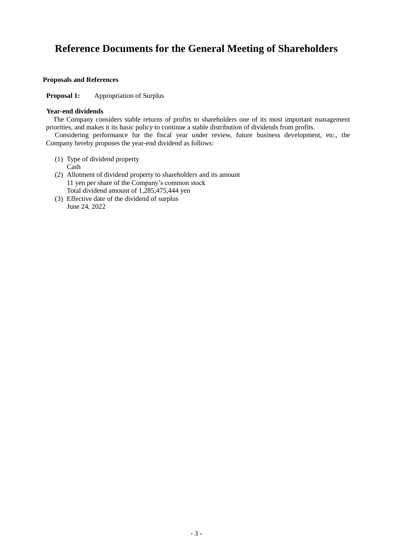# **Reference Documents for the General Meeting of Shareholders**

### **Proposals and References**

**Proposal 1:** Appropriation of Surplus

### **Year-end dividends**

The Company considers stable returns of profits to shareholders one of its most important management priorities, and makes it its basic policy to continue a stable distribution of dividends from profits.

Considering performance for the fiscal year under review, future business development, etc., the Company hereby proposes the year-end dividend as follows:

- (1) Type of dividend property Cash
- (2) Allotment of dividend property to shareholders and its amount 11 yen per share of the Company's common stock Total dividend amount of 1,285,475,444 yen
- (3) Effective date of the dividend of surplus June 24, 2022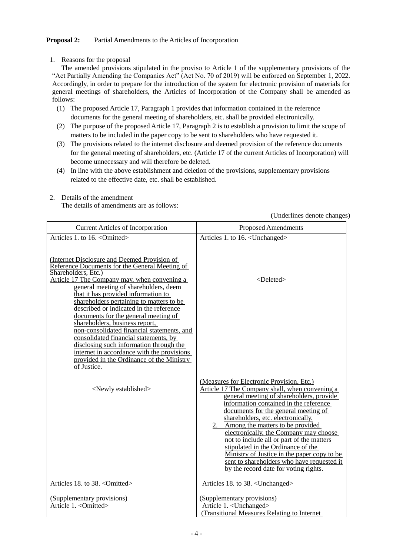# **Proposal 2:** Partial Amendments to the Articles of Incorporation

1. Reasons for the proposal

The amended provisions stipulated in the proviso to Article 1 of the supplementary provisions of the "Act Partially Amending the Companies Act" (Act No. 70 of 2019) will be enforced on September 1, 2022. Accordingly, in order to prepare for the introduction of the system for electronic provision of materials for general meetings of shareholders, the Articles of Incorporation of the Company shall be amended as follows:

- (1) The proposed Article 17, Paragraph 1 provides that information contained in the reference documents for the general meeting of shareholders, etc. shall be provided electronically.
- (2) The purpose of the proposed Article 17, Paragraph 2 is to establish a provision to limit the scope of matters to be included in the paper copy to be sent to shareholders who have requested it.
- (3) The provisions related to the internet disclosure and deemed provision of the reference documents for the general meeting of shareholders, etc. (Article 17 of the current Articles of Incorporation) will become unnecessary and will therefore be deleted.
- (4) In line with the above establishment and deletion of the provisions, supplementary provisions related to the effective date, etc. shall be established.
- 2. Details of the amendment The details of amendments are as follows:

(Underlines denote changes)

| <b>Current Articles of Incorporation</b>                                                                                                                                                                                                                                                                                                                                                                                                                                                                                                                         | <b>Proposed Amendments</b>                                                                                                                                                                                                                                                                                                                                                                                                                                                                                                                                                |
|------------------------------------------------------------------------------------------------------------------------------------------------------------------------------------------------------------------------------------------------------------------------------------------------------------------------------------------------------------------------------------------------------------------------------------------------------------------------------------------------------------------------------------------------------------------|---------------------------------------------------------------------------------------------------------------------------------------------------------------------------------------------------------------------------------------------------------------------------------------------------------------------------------------------------------------------------------------------------------------------------------------------------------------------------------------------------------------------------------------------------------------------------|
| Articles 1, to 16, <omitted><br/>(Internet Disclosure and Deemed Provision of<br/>Reference Documents for the General Meeting of</omitted>                                                                                                                                                                                                                                                                                                                                                                                                                       | Articles 1. to 16. <unchanged></unchanged>                                                                                                                                                                                                                                                                                                                                                                                                                                                                                                                                |
| Shareholders, Etc.)<br>Article 17 The Company may, when convening a<br>general meeting of shareholders, deem<br>that it has provided information to<br>shareholders pertaining to matters to be<br>described or indicated in the reference<br>documents for the general meeting of<br>shareholders, business report,<br>non-consolidated financial statements, and<br>consolidated financial statements, by<br>disclosing such information through the<br>internet in accordance with the provisions<br>provided in the Ordinance of the Ministry<br>of Justice. | $<$ Deleted $>$                                                                                                                                                                                                                                                                                                                                                                                                                                                                                                                                                           |
| <newly established=""></newly>                                                                                                                                                                                                                                                                                                                                                                                                                                                                                                                                   | (Measures for Electronic Provision, Etc.)<br>Article 17 The Company shall, when convening a<br>general meeting of shareholders, provide<br>information contained in the reference<br>documents for the general meeting of<br>shareholders, etc. electronically.<br>2. Among the matters to be provided<br>electronically, the Company may choose<br>not to include all or part of the matters<br>stipulated in the Ordinance of the<br>Ministry of Justice in the paper copy to be<br>sent to shareholders who have requested it<br>by the record date for voting rights. |
| Articles 18. to 38. < Omitted>                                                                                                                                                                                                                                                                                                                                                                                                                                                                                                                                   | Articles 18. to 38. <unchanged></unchanged>                                                                                                                                                                                                                                                                                                                                                                                                                                                                                                                               |
| (Supplementary provisions)<br>Article 1. < Omitted>                                                                                                                                                                                                                                                                                                                                                                                                                                                                                                              | (Supplementary provisions)<br>Article 1. < Unchanged><br>(Transitional Measures Relating to Internet)                                                                                                                                                                                                                                                                                                                                                                                                                                                                     |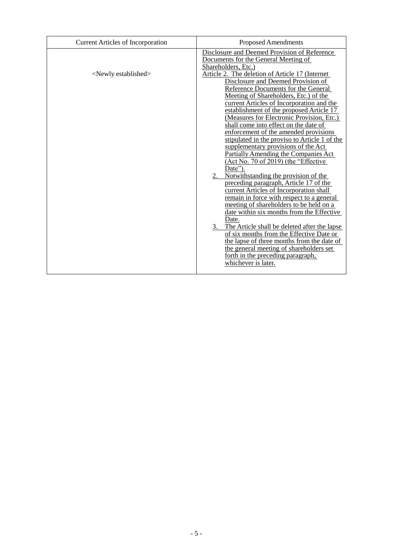| <b>Current Articles of Incorporation</b> | <b>Proposed Amendments</b>                                                                                                                                                                                                                                                                                                                                                                                                                                                                                                                                                                                                                                                                                                                                                                                                                                                                                                                                                                                                                                                                                                                                                                                                                            |
|------------------------------------------|-------------------------------------------------------------------------------------------------------------------------------------------------------------------------------------------------------------------------------------------------------------------------------------------------------------------------------------------------------------------------------------------------------------------------------------------------------------------------------------------------------------------------------------------------------------------------------------------------------------------------------------------------------------------------------------------------------------------------------------------------------------------------------------------------------------------------------------------------------------------------------------------------------------------------------------------------------------------------------------------------------------------------------------------------------------------------------------------------------------------------------------------------------------------------------------------------------------------------------------------------------|
| <newly established=""></newly>           | Disclosure and Deemed Provision of Reference<br>Documents for the General Meeting of<br>Shareholders, Etc.)<br>Article 2. The deletion of Article 17 (Internet<br>Disclosure and Deemed Provision of<br>Reference Documents for the General<br>Meeting of Shareholders, Etc.) of the<br>current Articles of Incorporation and the<br>establishment of the proposed Article 17<br>(Measures for Electronic Provision, Etc.)<br>shall come into effect on the date of<br>enforcement of the amended provisions<br>stipulated in the proviso to Article 1 of the<br>supplementary provisions of the Act<br><b>Partially Amending the Companies Act</b><br>(Act No. 70 of 2019) (the "Effective<br>Date").<br>Notwithstanding the provision of the<br>2.<br>preceding paragraph, Article 17 of the<br>current Articles of Incorporation shall<br>remain in force with respect to a general<br>meeting of shareholders to be held on a<br>date within six months from the Effective<br>Date.<br>$3\ldots$<br>The Article shall be deleted after the lapse<br>of six months from the Effective Date or<br>the lapse of three months from the date of<br>the general meeting of shareholders set<br>forth in the preceding paragraph,<br>whichever is later. |
|                                          |                                                                                                                                                                                                                                                                                                                                                                                                                                                                                                                                                                                                                                                                                                                                                                                                                                                                                                                                                                                                                                                                                                                                                                                                                                                       |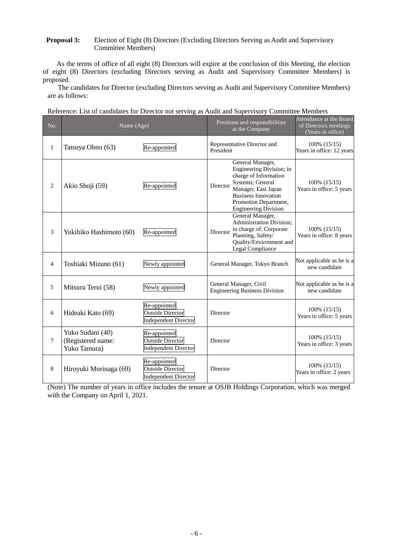# **Proposal 3:** Election of Eight (8) Directors (Excluding Directors Serving as Audit and Supervisory Committee Members)

As the terms of office of all eight (8) Directors will expire at the conclusion of this Meeting, the election of eight (8) Directors (excluding Directors serving as Audit and Supervisory Committee Members) is proposed.

The candidates for Director (excluding Directors serving as Audit and Supervisory Committee Members) are as follows:

|  |  |  |  | Reference: List of candidates for Director not serving as Audit and Supervisory Committee Members |  |
|--|--|--|--|---------------------------------------------------------------------------------------------------|--|
|  |  |  |  |                                                                                                   |  |

| No.            | Name (Age)                                            |                                                                        | Positions and responsibilities<br>at the Company                                                                                                                                                                   | Attendance at the Board<br>of Directors meetings<br>(Years in office) |
|----------------|-------------------------------------------------------|------------------------------------------------------------------------|--------------------------------------------------------------------------------------------------------------------------------------------------------------------------------------------------------------------|-----------------------------------------------------------------------|
| $\mathbf{1}$   | Tatsuya Ohno (63)                                     | Re-appointed                                                           | Representative Director and<br>President                                                                                                                                                                           | 100% (15/15)<br>Years in office: 12 years                             |
| 2              | Akio Shoji (59)                                       | Re-appointed                                                           | General Manager,<br>Engineering Division; in<br>charge of Information<br>Systems; General<br>Director<br>Manager, East Japan<br><b>Business Innovation</b><br>Promotion Department,<br><b>Engineering Division</b> | $100\%$ $(15/15)$<br>Years in office: 5 years                         |
| 3              | Yukihiko Hashimoto (60)                               | Re-appointed                                                           | General Manager,<br><b>Administration Division;</b><br>in charge of: Corporate<br>Director<br>Planning, Safety/<br>Quality/Environment and<br>Legal Compliance                                                     | $100\%$ $(15/15)$<br>Years in office: 8 years                         |
| $\overline{4}$ | Toshiaki Mizuno (61)                                  | Newly appointed                                                        | General Manager, Tokyo Branch                                                                                                                                                                                      | Not applicable as he is a<br>new candidate                            |
| 5              | Mitsuru Terui (58)                                    | Newly appointed                                                        | General Manager, Civil<br><b>Engineering Business Division</b>                                                                                                                                                     | Not applicable as he is a<br>new candidate                            |
| 6              | Hideaki Kato (69)                                     | Re-appointed<br><b>Outside Director</b><br><b>Independent Director</b> | Director                                                                                                                                                                                                           | $100\%$ $(15/15)$<br>Years in office: 5 years                         |
| $\tau$         | Yuko Sudani (40)<br>(Registered name:<br>Yuko Tamura) | Re-appointed<br><b>Outside Director</b><br><b>Independent Director</b> | Director                                                                                                                                                                                                           | $100\%$ $(15/15)$<br>Years in office: 3 years                         |
| 8              | Hiroyuki Morinaga (69)                                | Re-appointed<br><b>Outside Director</b><br><b>Independent Director</b> | Director                                                                                                                                                                                                           | $100\%$ $(15/15)$<br>Years in office: 2 years                         |

(Note) The number of years in office includes the tenure at OSJB Holdings Corporation, which was merged with the Company on April 1, 2021.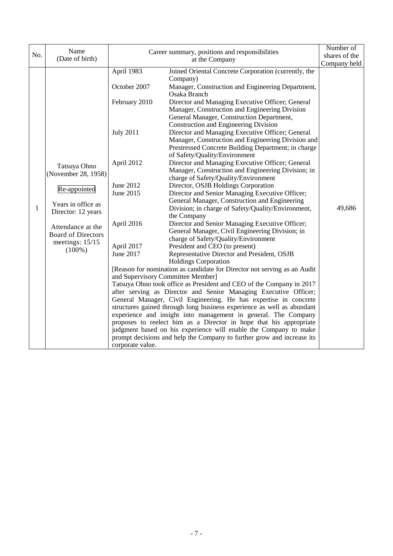|     | Name                                                                                                                                                                                |                                                                                                                                                                                                           | Career summary, positions and responsibilities                                                                                                                                                                                                                                                                                                                                                                                                                                                                                                                                                                                                                                                                                                                                                                                                                                                                                                                                                                                                                                                                                                                                                                                                                                                                                                                                                                                                                                                                                                                                                                                                                                                                                                                                                                                  | Number of     |
|-----|-------------------------------------------------------------------------------------------------------------------------------------------------------------------------------------|-----------------------------------------------------------------------------------------------------------------------------------------------------------------------------------------------------------|---------------------------------------------------------------------------------------------------------------------------------------------------------------------------------------------------------------------------------------------------------------------------------------------------------------------------------------------------------------------------------------------------------------------------------------------------------------------------------------------------------------------------------------------------------------------------------------------------------------------------------------------------------------------------------------------------------------------------------------------------------------------------------------------------------------------------------------------------------------------------------------------------------------------------------------------------------------------------------------------------------------------------------------------------------------------------------------------------------------------------------------------------------------------------------------------------------------------------------------------------------------------------------------------------------------------------------------------------------------------------------------------------------------------------------------------------------------------------------------------------------------------------------------------------------------------------------------------------------------------------------------------------------------------------------------------------------------------------------------------------------------------------------------------------------------------------------|---------------|
| No. | (Date of birth)                                                                                                                                                                     |                                                                                                                                                                                                           | at the Company                                                                                                                                                                                                                                                                                                                                                                                                                                                                                                                                                                                                                                                                                                                                                                                                                                                                                                                                                                                                                                                                                                                                                                                                                                                                                                                                                                                                                                                                                                                                                                                                                                                                                                                                                                                                                  | shares of the |
|     |                                                                                                                                                                                     |                                                                                                                                                                                                           |                                                                                                                                                                                                                                                                                                                                                                                                                                                                                                                                                                                                                                                                                                                                                                                                                                                                                                                                                                                                                                                                                                                                                                                                                                                                                                                                                                                                                                                                                                                                                                                                                                                                                                                                                                                                                                 | Company held  |
| 1   | Tatsuya Ohno<br>(November 28, 1958)<br>Re-appointed<br>Years in office as<br>Director: 12 years<br>Attendance at the<br><b>Board of Directors</b><br>meetings: $15/15$<br>$(100\%)$ | April 1983<br>October 2007<br>February 2010<br><b>July 2011</b><br>April 2012<br>June 2012<br>June 2015<br>April 2016<br>April 2017<br>June 2017<br>and Supervisory Committee Member]<br>corporate value. | Joined Oriental Concrete Corporation (currently, the<br>Company)<br>Manager, Construction and Engineering Department,<br>Osaka Branch<br>Director and Managing Executive Officer; General<br>Manager, Construction and Engineering Division<br>General Manager, Construction Department,<br>Construction and Engineering Division<br>Director and Managing Executive Officer; General<br>Manager, Construction and Engineering Division and<br>Prestressed Concrete Building Department; in charge<br>of Safety/Quality/Environment<br>Director and Managing Executive Officer; General<br>Manager, Construction and Engineering Division; in<br>charge of Safety/Quality/Environment<br>Director, OSJB Holdings Corporation<br>Director and Senior Managing Executive Officer;<br>General Manager, Construction and Engineering<br>Division; in charge of Safety/Quality/Environment,<br>the Company<br>Director and Senior Managing Executive Officer;<br>General Manager, Civil Engineering Division; in<br>charge of Safety/Quality/Environment<br>President and CEO (to present)<br>Representative Director and President, OSJB<br><b>Holdings Corporation</b><br>[Reason for nomination as candidate for Director not serving as an Audit<br>Tatsuya Ohno took office as President and CEO of the Company in 2017<br>after serving as Director and Senior Managing Executive Officer;<br>General Manager, Civil Engineering. He has expertise in concrete<br>structures gained through long business experience as well as abundant<br>experience and insight into management in general. The Company<br>proposes to reelect him as a Director in hope that his appropriate<br>judgment based on his experience will enable the Company to make<br>prompt decisions and help the Company to further grow and increase its | 49,686        |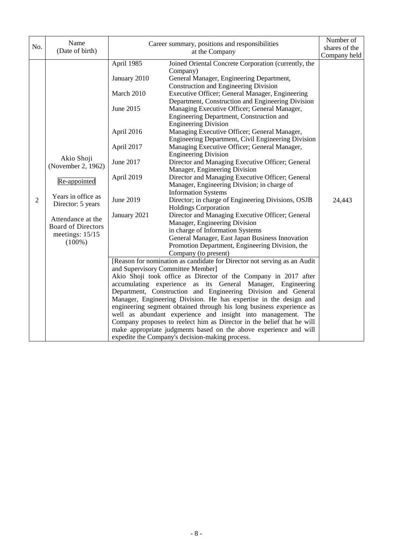|                       | Name                                                                                                                                                                          |                                                                                                                                                                                |                                                                                                                                                                                                                                                                                                                                                                                                                                                                                                                                                                                                                                                                                                                                                                                                                                                                                                                                                                                                                                                                                                                                                                                                                                                                                                                                                                                                                 | Number of                               |
|-----------------------|-------------------------------------------------------------------------------------------------------------------------------------------------------------------------------|--------------------------------------------------------------------------------------------------------------------------------------------------------------------------------|-----------------------------------------------------------------------------------------------------------------------------------------------------------------------------------------------------------------------------------------------------------------------------------------------------------------------------------------------------------------------------------------------------------------------------------------------------------------------------------------------------------------------------------------------------------------------------------------------------------------------------------------------------------------------------------------------------------------------------------------------------------------------------------------------------------------------------------------------------------------------------------------------------------------------------------------------------------------------------------------------------------------------------------------------------------------------------------------------------------------------------------------------------------------------------------------------------------------------------------------------------------------------------------------------------------------------------------------------------------------------------------------------------------------|-----------------------------------------|
|                       | (Date of birth)                                                                                                                                                               | at the Company                                                                                                                                                                 |                                                                                                                                                                                                                                                                                                                                                                                                                                                                                                                                                                                                                                                                                                                                                                                                                                                                                                                                                                                                                                                                                                                                                                                                                                                                                                                                                                                                                 |                                         |
| No.<br>$\mathfrak{2}$ | Akio Shoji<br>(November 2, 1962)<br>Re-appointed<br>Years in office as<br>Director: 5 years<br>Attendance at the<br><b>Board of Directors</b><br>meetings: 15/15<br>$(100\%)$ | April 1985<br>January 2010<br>March 2010<br>June 2015<br>April 2016<br>April 2017<br>June 2017<br>April 2019<br>June 2019<br>January 2021<br>and Supervisory Committee Member] | Career summary, positions and responsibilities<br>Joined Oriental Concrete Corporation (currently, the<br>Company)<br>General Manager, Engineering Department,<br>Construction and Engineering Division<br>Executive Officer; General Manager, Engineering<br>Department, Construction and Engineering Division<br>Managing Executive Officer; General Manager,<br>Engineering Department, Construction and<br><b>Engineering Division</b><br>Managing Executive Officer; General Manager,<br>Engineering Department, Civil Engineering Division<br>Managing Executive Officer; General Manager,<br><b>Engineering Division</b><br>Director and Managing Executive Officer; General<br>Manager, Engineering Division<br>Director and Managing Executive Officer; General<br>Manager, Engineering Division; in charge of<br><b>Information Systems</b><br>Director; in charge of Engineering Divisions, OSJB<br><b>Holdings Corporation</b><br>Director and Managing Executive Officer; General<br>Manager, Engineering Division<br>in charge of Information Systems<br>General Manager, East Japan Business Innovation<br>Promotion Department, Engineering Division, the<br>Company (to present)<br>[Reason for nomination as candidate for Director not serving as an Audit<br>Akio Shoji took office as Director of the Company in 2017 after<br>accumulating experience as its General Manager, Engineering | shares of the<br>Company held<br>24,443 |
|                       |                                                                                                                                                                               |                                                                                                                                                                                | Department, Construction and Engineering Division and General<br>Manager, Engineering Division. He has expertise in the design and<br>engineering segment obtained through his long business experience as<br>well as abundant experience and insight into management. The<br>Company proposes to reelect him as Director in the belief that he will<br>make appropriate judgments based on the above experience and will                                                                                                                                                                                                                                                                                                                                                                                                                                                                                                                                                                                                                                                                                                                                                                                                                                                                                                                                                                                       |                                         |
|                       |                                                                                                                                                                               |                                                                                                                                                                                | expedite the Company's decision-making process.                                                                                                                                                                                                                                                                                                                                                                                                                                                                                                                                                                                                                                                                                                                                                                                                                                                                                                                                                                                                                                                                                                                                                                                                                                                                                                                                                                 |                                         |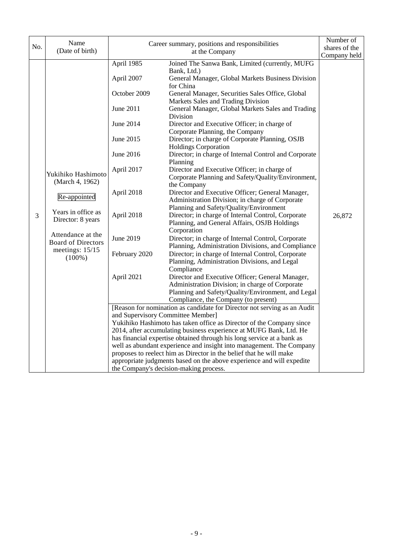|     | Name                      | Career summary, positions and responsibilities |                                                                          | Number of    |
|-----|---------------------------|------------------------------------------------|--------------------------------------------------------------------------|--------------|
| No. | (Date of birth)           |                                                | shares of the                                                            |              |
|     |                           |                                                | at the Company                                                           | Company held |
|     |                           | April 1985                                     | Joined The Sanwa Bank, Limited (currently, MUFG                          |              |
|     |                           |                                                | Bank, Ltd.)                                                              |              |
|     |                           | April 2007                                     | General Manager, Global Markets Business Division                        |              |
|     |                           |                                                | for China                                                                |              |
|     |                           | October 2009                                   | General Manager, Securities Sales Office, Global                         |              |
|     |                           |                                                | Markets Sales and Trading Division                                       |              |
|     |                           | <b>June 2011</b>                               | General Manager, Global Markets Sales and Trading<br>Division            |              |
|     |                           | June 2014                                      | Director and Executive Officer; in charge of                             |              |
|     |                           |                                                | Corporate Planning, the Company                                          |              |
|     |                           | June 2015                                      | Director; in charge of Corporate Planning, OSJB                          |              |
|     |                           |                                                | <b>Holdings Corporation</b>                                              |              |
|     |                           | June 2016                                      | Director; in charge of Internal Control and Corporate                    |              |
|     |                           |                                                | Planning                                                                 |              |
|     |                           | April 2017                                     | Director and Executive Officer; in charge of                             |              |
|     | Yukihiko Hashimoto        |                                                | Corporate Planning and Safety/Quality/Environment,                       |              |
|     | (March 4, 1962)           |                                                | the Company                                                              |              |
|     |                           | April 2018                                     | Director and Executive Officer; General Manager,                         |              |
|     | Re-appointed              |                                                | Administration Division; in charge of Corporate                          |              |
|     |                           |                                                | Planning and Safety/Quality/Environment                                  |              |
| 3   | Years in office as        | April 2018                                     | Director; in charge of Internal Control, Corporate                       | 26,872       |
|     | Director: 8 years         |                                                | Planning, and General Affairs, OSJB Holdings                             |              |
|     | Attendance at the         |                                                | Corporation                                                              |              |
|     | <b>Board of Directors</b> | June 2019                                      | Director; in charge of Internal Control, Corporate                       |              |
|     | meetings: 15/15           |                                                | Planning, Administration Divisions, and Compliance                       |              |
|     | $(100\%)$                 | February 2020                                  | Director; in charge of Internal Control, Corporate                       |              |
|     |                           |                                                | Planning, Administration Divisions, and Legal                            |              |
|     |                           |                                                | Compliance                                                               |              |
|     |                           | April 2021                                     | Director and Executive Officer; General Manager,                         |              |
|     |                           |                                                | Administration Division; in charge of Corporate                          |              |
|     |                           |                                                | Planning and Safety/Quality/Environment, and Legal                       |              |
|     |                           |                                                | Compliance, the Company (to present)                                     |              |
|     |                           |                                                | [Reason for nomination as candidate for Director not serving as an Audit |              |
|     |                           | and Supervisory Committee Member]              |                                                                          |              |
|     |                           |                                                | Yukihiko Hashimoto has taken office as Director of the Company since     |              |
|     |                           |                                                | 2014, after accumulating business experience at MUFG Bank, Ltd. He       |              |
|     |                           |                                                | has financial expertise obtained through his long service at a bank as   |              |
|     |                           |                                                | well as abundant experience and insight into management. The Company     |              |
|     |                           |                                                | proposes to reelect him as Director in the belief that he will make      |              |
|     |                           |                                                | appropriate judgments based on the above experience and will expedite    |              |
|     |                           |                                                | the Company's decision-making process.                                   |              |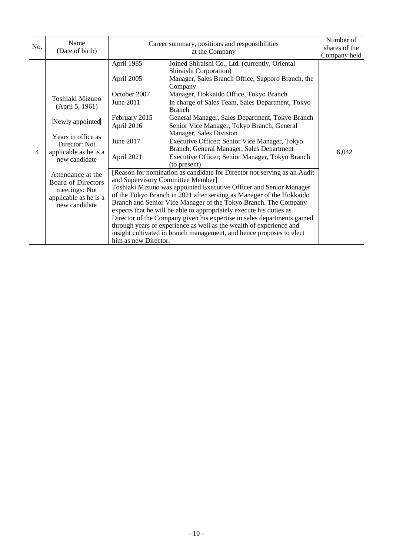| No. | Name                                                                                                                                                                                                                                                | Career summary, positions and responsibilities                                                                                          |                                                                                                                                                                                                                                                                                                                                                                                                                                                                                                                                                                                                                                                                                                                                                                                                                                                                                                                                                                                                                                                                                                                                                                                          | Number of             |
|-----|-----------------------------------------------------------------------------------------------------------------------------------------------------------------------------------------------------------------------------------------------------|-----------------------------------------------------------------------------------------------------------------------------------------|------------------------------------------------------------------------------------------------------------------------------------------------------------------------------------------------------------------------------------------------------------------------------------------------------------------------------------------------------------------------------------------------------------------------------------------------------------------------------------------------------------------------------------------------------------------------------------------------------------------------------------------------------------------------------------------------------------------------------------------------------------------------------------------------------------------------------------------------------------------------------------------------------------------------------------------------------------------------------------------------------------------------------------------------------------------------------------------------------------------------------------------------------------------------------------------|-----------------------|
|     | (Date of birth)                                                                                                                                                                                                                                     | at the Company                                                                                                                          |                                                                                                                                                                                                                                                                                                                                                                                                                                                                                                                                                                                                                                                                                                                                                                                                                                                                                                                                                                                                                                                                                                                                                                                          | shares of the         |
| 4   | Toshiaki Mizuno<br>(April 5, 1961)<br>Newly appointed<br>Years in office as<br>Director: Not<br>applicable as he is a<br>new candidate<br>Attendance at the<br><b>Board of Directors</b><br>meetings: Not<br>applicable as he is a<br>new candidate | April 1985<br>April 2005<br>October 2007<br>June 2011<br>February 2015<br>April 2016<br>June 2017<br>April 2021<br>him as new Director. | Joined Shiraishi Co., Ltd. (currently, Oriental<br>Shiraishi Corporation)<br>Manager, Sales Branch Office, Sapporo Branch, the<br>Company<br>Manager, Hokkaido Office, Tokyo Branch<br>In charge of Sales Team, Sales Department, Tokyo<br><b>Branch</b><br>General Manager, Sales Department, Tokyo Branch<br>Senior Vice Manager, Tokyo Branch; General<br>Manager, Sales Division<br>Executive Officer; Senior Vice Manager, Tokyo<br>Branch; General Manager, Sales Department<br>Executive Officer; Senior Manager, Tokyo Branch<br>(to present)<br>[Reason for nomination as candidate for Director not serving as an Audit<br>and Supervisory Committee Member]<br>Toshiaki Mizuno was appointed Executive Officer and Senior Manager<br>of the Tokyo Branch in 2021 after serving as Manager of the Hokkaido<br>Branch and Senior Vice Manager of the Tokyo Branch. The Company<br>expects that he will be able to appropriately execute his duties as<br>Director of the Company given his expertise in sales departments gained<br>through years of experience as well as the wealth of experience and<br>insight cultivated in branch management, and hence proposes to elect | Company held<br>6,042 |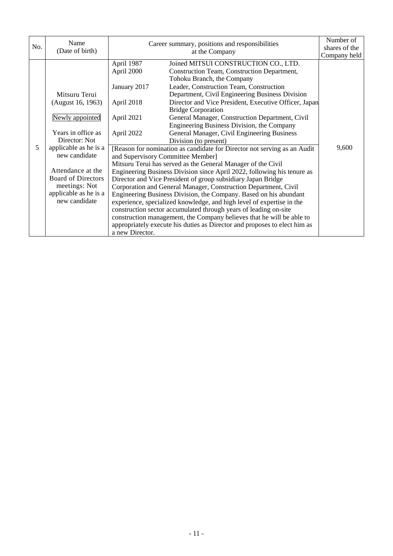| No. | Name<br>(Date of birth)                                                                                                                                                                    | Career summary, positions and responsibilities<br>at the Company |                                                                                                                                                                                                                                                                                                                                                                                                                                                                                                                                                                                                                                                                                                                                                                                                                                             | Number of<br>shares of the |
|-----|--------------------------------------------------------------------------------------------------------------------------------------------------------------------------------------------|------------------------------------------------------------------|---------------------------------------------------------------------------------------------------------------------------------------------------------------------------------------------------------------------------------------------------------------------------------------------------------------------------------------------------------------------------------------------------------------------------------------------------------------------------------------------------------------------------------------------------------------------------------------------------------------------------------------------------------------------------------------------------------------------------------------------------------------------------------------------------------------------------------------------|----------------------------|
|     | Mitsuru Terui<br>(August 16, 1963)                                                                                                                                                         | April 1987<br>April 2000<br>January 2017<br>April 2018           | Joined MITSUI CONSTRUCTION CO., LTD.<br>Construction Team, Construction Department,<br>Tohoku Branch, the Company<br>Leader, Construction Team, Construction<br>Department, Civil Engineering Business Division<br>Director and Vice President, Executive Officer, Japan<br><b>Bridge Corporation</b>                                                                                                                                                                                                                                                                                                                                                                                                                                                                                                                                       | Company held               |
|     | Newly appointed                                                                                                                                                                            | April 2021                                                       | General Manager, Construction Department, Civil<br>Engineering Business Division, the Company                                                                                                                                                                                                                                                                                                                                                                                                                                                                                                                                                                                                                                                                                                                                               |                            |
| 5   | Years in office as<br>Director: Not<br>applicable as he is a<br>new candidate<br>Attendance at the<br><b>Board of Directors</b><br>meetings: Not<br>applicable as he is a<br>new candidate | April 2022<br>a new Director.                                    | General Manager, Civil Engineering Business<br>Division (to present)<br>[Reason for nomination as candidate for Director not serving as an Audit<br>and Supervisory Committee Member]<br>Mitsuru Terui has served as the General Manager of the Civil<br>Engineering Business Division since April 2022, following his tenure as<br>Director and Vice President of group subsidiary Japan Bridge<br>Corporation and General Manager, Construction Department, Civil<br>Engineering Business Division, the Company. Based on his abundant<br>experience, specialized knowledge, and high level of expertise in the<br>construction sector accumulated through years of leading on-site<br>construction management, the Company believes that he will be able to<br>appropriately execute his duties as Director and proposes to elect him as | 9,600                      |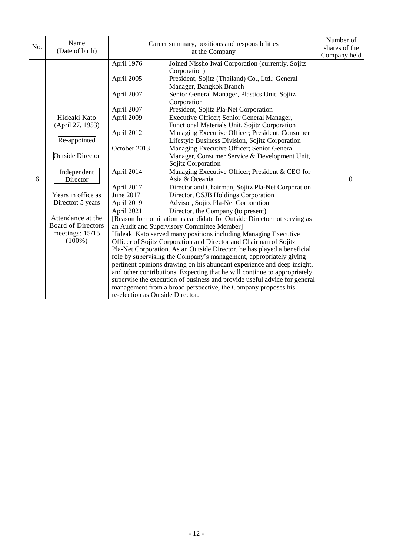| No. | Name<br>(Date of birth)                                                                                                                                                                                                               |                                                                                                                                                                                                           | Career summary, positions and responsibilities<br>at the Company                                                                                                                                                                                                                                                                                                                                                                                                                                                                                                                                                                                                                                                                                                                                                                                                                                                                                                                                                                                                                                                                                                                                                                                                                                                                                                                                                                                                                                                                                         | Number of<br>shares of the<br>Company held |
|-----|---------------------------------------------------------------------------------------------------------------------------------------------------------------------------------------------------------------------------------------|-----------------------------------------------------------------------------------------------------------------------------------------------------------------------------------------------------------|----------------------------------------------------------------------------------------------------------------------------------------------------------------------------------------------------------------------------------------------------------------------------------------------------------------------------------------------------------------------------------------------------------------------------------------------------------------------------------------------------------------------------------------------------------------------------------------------------------------------------------------------------------------------------------------------------------------------------------------------------------------------------------------------------------------------------------------------------------------------------------------------------------------------------------------------------------------------------------------------------------------------------------------------------------------------------------------------------------------------------------------------------------------------------------------------------------------------------------------------------------------------------------------------------------------------------------------------------------------------------------------------------------------------------------------------------------------------------------------------------------------------------------------------------------|--------------------------------------------|
| 6   | Hideaki Kato<br>(April 27, 1953)<br>Re-appointed<br><b>Outside Director</b><br>Independent<br>Director<br>Years in office as<br>Director: 5 years<br>Attendance at the<br><b>Board of Directors</b><br>meetings: $15/15$<br>$(100\%)$ | April 1976<br>April 2005<br>April 2007<br>April 2007<br>April 2009<br>April 2012<br>October 2013<br>April 2014<br>April 2017<br>June 2017<br>April 2019<br>April 2021<br>re-election as Outside Director. | Joined Nissho Iwai Corporation (currently, Sojitz<br>Corporation)<br>President, Sojitz (Thailand) Co., Ltd.; General<br>Manager, Bangkok Branch<br>Senior General Manager, Plastics Unit, Sojitz<br>Corporation<br>President, Sojitz Pla-Net Corporation<br>Executive Officer; Senior General Manager,<br>Functional Materials Unit, Sojitz Corporation<br>Managing Executive Officer; President, Consumer<br>Lifestyle Business Division, Sojitz Corporation<br>Managing Executive Officer; Senior General<br>Manager, Consumer Service & Development Unit,<br>Sojitz Corporation<br>Managing Executive Officer; President & CEO for<br>Asia & Oceania<br>Director and Chairman, Sojitz Pla-Net Corporation<br>Director, OSJB Holdings Corporation<br>Advisor, Sojitz Pla-Net Corporation<br>Director, the Company (to present)<br>[Reason for nomination as candidate for Outside Director not serving as<br>an Audit and Supervisory Committee Member]<br>Hideaki Kato served many positions including Managing Executive<br>Officer of Sojitz Corporation and Director and Chairman of Sojitz<br>Pla-Net Corporation. As an Outside Director, he has played a beneficial<br>role by supervising the Company's management, appropriately giving<br>pertinent opinions drawing on his abundant experience and deep insight,<br>and other contributions. Expecting that he will continue to appropriately<br>supervise the execution of business and provide useful advice for general<br>management from a broad perspective, the Company proposes his | $\Omega$                                   |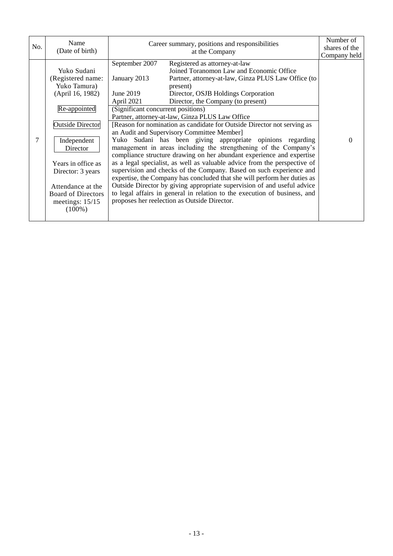| No. | Name<br>(Date of birth)                                                                                                                                                                                                                                                   | Career summary, positions and responsibilities<br>at the Company                                                                                                                                                                                                                                                                                                                                                                                                                                                                                                                                                                                                                                                                                                                                                                                                                                                                                                                                                                                                                                                                                            | Number of<br>shares of the<br>Company held |
|-----|---------------------------------------------------------------------------------------------------------------------------------------------------------------------------------------------------------------------------------------------------------------------------|-------------------------------------------------------------------------------------------------------------------------------------------------------------------------------------------------------------------------------------------------------------------------------------------------------------------------------------------------------------------------------------------------------------------------------------------------------------------------------------------------------------------------------------------------------------------------------------------------------------------------------------------------------------------------------------------------------------------------------------------------------------------------------------------------------------------------------------------------------------------------------------------------------------------------------------------------------------------------------------------------------------------------------------------------------------------------------------------------------------------------------------------------------------|--------------------------------------------|
| 7   | Yuko Sudani<br>(Registered name:<br>Yuko Tamura)<br>(April 16, 1982)<br>Re-appointed<br><b>Outside Director</b><br>Independent<br>Director<br>Years in office as<br>Director: 3 years<br>Attendance at the<br><b>Board of Directors</b><br>meetings: $15/15$<br>$(100\%)$ | September 2007<br>Registered as attorney-at-law<br>Joined Toranomon Law and Economic Office<br>January 2013<br>Partner, attorney-at-law, Ginza PLUS Law Office (to<br>present)<br>June 2019<br>Director, OSJB Holdings Corporation<br>Director, the Company (to present)<br>April 2021<br>(Significant concurrent positions)<br>Partner, attorney-at-law, Ginza PLUS Law Office<br>[Reason for nomination as candidate for Outside Director not serving as<br>an Audit and Supervisory Committee Member]<br>Yuko Sudani has been giving appropriate opinions regarding<br>management in areas including the strengthening of the Company's<br>compliance structure drawing on her abundant experience and expertise<br>as a legal specialist, as well as valuable advice from the perspective of<br>supervision and checks of the Company. Based on such experience and<br>expertise, the Company has concluded that she will perform her duties as<br>Outside Director by giving appropriate supervision of and useful advice<br>to legal affairs in general in relation to the execution of business, and<br>proposes her reelection as Outside Director. | $\Omega$                                   |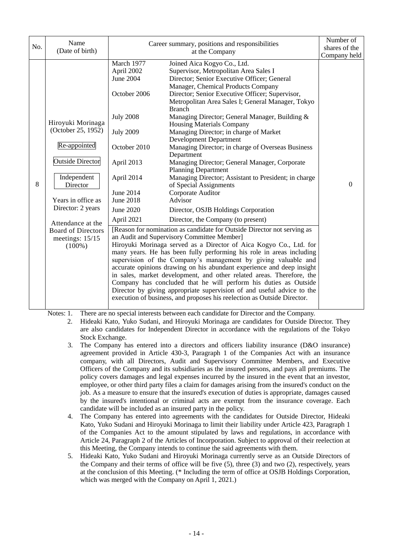| No. | Name<br>(Date of birth)                                                                                                                                                                                                                      | Career summary, positions and responsibilities                                                                                                                                                                      | Number of<br>shares of the<br>Company held                                                                                                                                                                                                                                                                                                                                                                                                                                                                                                                                                                                                                                                                                                                                                                                                                                                                                                                                                                                                                                                                                                                                                                                                                                                                                                                                                                                                                                                                                                                  |   |
|-----|----------------------------------------------------------------------------------------------------------------------------------------------------------------------------------------------------------------------------------------------|---------------------------------------------------------------------------------------------------------------------------------------------------------------------------------------------------------------------|-------------------------------------------------------------------------------------------------------------------------------------------------------------------------------------------------------------------------------------------------------------------------------------------------------------------------------------------------------------------------------------------------------------------------------------------------------------------------------------------------------------------------------------------------------------------------------------------------------------------------------------------------------------------------------------------------------------------------------------------------------------------------------------------------------------------------------------------------------------------------------------------------------------------------------------------------------------------------------------------------------------------------------------------------------------------------------------------------------------------------------------------------------------------------------------------------------------------------------------------------------------------------------------------------------------------------------------------------------------------------------------------------------------------------------------------------------------------------------------------------------------------------------------------------------------|---|
| 8   | Hiroyuki Morinaga<br>(October 25, 1952)<br>Re-appointed<br><b>Outside Director</b><br>Independent<br>Director<br>Years in office as<br>Director: 2 years<br>Attendance at the<br><b>Board of Directors</b><br>meetings: $15/15$<br>$(100\%)$ | March 1977<br>April 2002<br><b>June 2004</b><br>October 2006<br><b>July 2008</b><br><b>July 2009</b><br>October 2010<br>April 2013<br>April 2014<br>June 2014<br><b>June 2018</b><br><b>June 2020</b><br>April 2021 | Joined Aica Kogyo Co., Ltd.<br>Supervisor, Metropolitan Area Sales I<br>Director; Senior Executive Officer; General<br>Manager, Chemical Products Company<br>Director; Senior Executive Officer; Supervisor,<br>Metropolitan Area Sales I; General Manager, Tokyo<br><b>Branch</b><br>Managing Director; General Manager, Building &<br><b>Housing Materials Company</b><br>Managing Director; in charge of Market<br><b>Development Department</b><br>Managing Director; in charge of Overseas Business<br>Department<br>Managing Director; General Manager, Corporate<br><b>Planning Department</b><br>Managing Director; Assistant to President; in charge<br>of Special Assignments<br>Corporate Auditor<br>Advisor<br>Director, OSJB Holdings Corporation<br>Director, the Company (to present)<br>[Reason for nomination as candidate for Outside Director not serving as<br>an Audit and Supervisory Committee Member]<br>Hiroyuki Morinaga served as a Director of Aica Kogyo Co., Ltd. for<br>many years. He has been fully performing his role in areas including<br>supervision of the Company's management by giving valuable and<br>accurate opinions drawing on his abundant experience and deep insight<br>in sales, market development, and other related areas. Therefore, the<br>Company has concluded that he will perform his duties as Outside<br>Director by giving appropriate supervision of and useful advice to the<br>execution of business, and proposes his reelection as Outside Director.<br>$1 \tcdot 11 \tcdot 2 \tcdot 2$ | 0 |

Notes: 1. There are no special interests between each candidate for Director and the Company.

2. Hideaki Kato, Yuko Sudani, and Hiroyuki Morinaga are candidates for Outside Director. They are also candidates for Independent Director in accordance with the regulations of the Tokyo Stock Exchange.

- 3. The Company has entered into a directors and officers liability insurance (D&O insurance) agreement provided in Article 430-3, Paragraph 1 of the Companies Act with an insurance company, with all Directors, Audit and Supervisory Committee Members, and Executive Officers of the Company and its subsidiaries as the insured persons, and pays all premiums. The policy covers damages and legal expenses incurred by the insured in the event that an investor, employee, or other third party files a claim for damages arising from the insured's conduct on the job. As a measure to ensure that the insured's execution of duties is appropriate, damages caused by the insured's intentional or criminal acts are exempt from the insurance coverage. Each candidate will be included as an insured party in the policy.
- 4. The Company has entered into agreements with the candidates for Outside Director, Hideaki Kato, Yuko Sudani and Hiroyuki Morinaga to limit their liability under Article 423, Paragraph 1 of the Companies Act to the amount stipulated by laws and regulations, in accordance with Article 24, Paragraph 2 of the Articles of Incorporation. Subject to approval of their reelection at this Meeting, the Company intends to continue the said agreements with them.
- 5. Hideaki Kato, Yuko Sudani and Hiroyuki Morinaga currently serve as an Outside Directors of the Company and their terms of office will be five (5), three (3) and two (2), respectively, years at the conclusion of this Meeting. (\* Including the term of office at OSJB Holdings Corporation, which was merged with the Company on April 1, 2021.)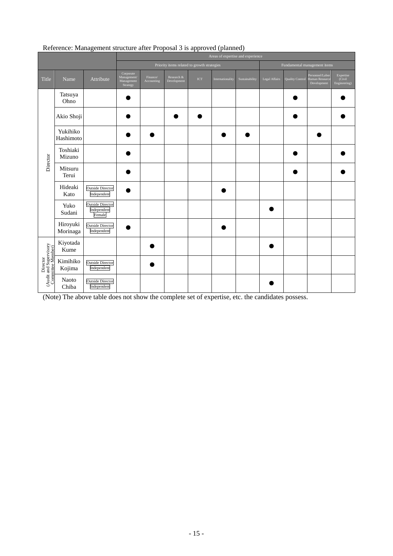|                                                         |                       | Areas of expertise and experience                |                                                    |                        |                           |     |                              |                |               |                        |                                                  |                                     |
|---------------------------------------------------------|-----------------------|--------------------------------------------------|----------------------------------------------------|------------------------|---------------------------|-----|------------------------------|----------------|---------------|------------------------|--------------------------------------------------|-------------------------------------|
|                                                         |                       | Priority items related to growth strategies      |                                                    |                        |                           |     | Fundamental management items |                |               |                        |                                                  |                                     |
| Title                                                   | Name                  | Attribute                                        | Corporate<br>Management/<br>Management<br>Strategy | Finance/<br>Accounting | Research &<br>Development | ICT | Internationality             | Sustainability | Legal Affairs | <b>Quality Control</b> | Personnel/Labor<br>Human Resource<br>Development | Expertise<br>(Civil<br>Engineering) |
| Director                                                | Tatsuya<br>Ohno       |                                                  |                                                    |                        |                           |     |                              |                |               |                        |                                                  |                                     |
|                                                         | Akio Shoji            |                                                  |                                                    |                        |                           |     |                              |                |               |                        |                                                  |                                     |
|                                                         | Yukihiko<br>Hashimoto |                                                  |                                                    |                        |                           |     |                              |                |               |                        |                                                  |                                     |
|                                                         | Toshiaki<br>Mizuno    |                                                  |                                                    |                        |                           |     |                              |                |               |                        |                                                  |                                     |
|                                                         | Mitsuru<br>Terui      |                                                  |                                                    |                        |                           |     |                              |                |               |                        |                                                  |                                     |
|                                                         | Hideaki<br>Kato       | <b>Outside Director</b><br>Independent           |                                                    |                        |                           |     |                              |                |               |                        |                                                  |                                     |
|                                                         | Yuko<br>Sudani        | <b>Outside Director</b><br>Independent<br>Female |                                                    |                        |                           |     |                              |                |               |                        |                                                  |                                     |
|                                                         | Hiroyuki<br>Morinaga  | <b>Outside Director</b><br>Independent           |                                                    |                        |                           |     |                              |                |               |                        |                                                  |                                     |
| Director<br>(Audit and Supervisory<br>Committee Member) | Kiyotada<br>Kume      |                                                  |                                                    |                        |                           |     |                              |                |               |                        |                                                  |                                     |
|                                                         | Kimihiko<br>Kojima    | <b>Outside Director</b><br>Independent           |                                                    |                        |                           |     |                              |                |               |                        |                                                  |                                     |
|                                                         | Naoto<br>Chiba        | <b>Outside Director</b><br>Independent           |                                                    |                        |                           |     |                              |                |               |                        |                                                  |                                     |

# Reference: Management structure after Proposal 3 is approved (planned)

(Note) The above table does not show the complete set of expertise, etc. the candidates possess.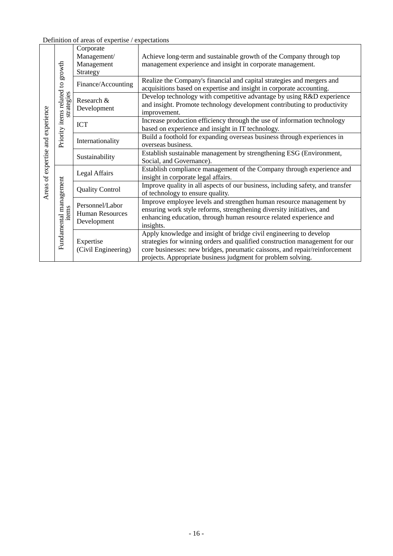Definition of areas of expertise / expectations

| expertise and experience<br>Areas of | Priority items related to growth<br>strategies | Corporate<br>Management/<br>Management                   | Achieve long-term and sustainable growth of the Company through top<br>management experience and insight in corporate management.                                                                                                                                                               |  |  |  |  |
|--------------------------------------|------------------------------------------------|----------------------------------------------------------|-------------------------------------------------------------------------------------------------------------------------------------------------------------------------------------------------------------------------------------------------------------------------------------------------|--|--|--|--|
|                                      |                                                | Strategy                                                 |                                                                                                                                                                                                                                                                                                 |  |  |  |  |
|                                      |                                                | Finance/Accounting                                       | Realize the Company's financial and capital strategies and mergers and<br>acquisitions based on expertise and insight in corporate accounting.                                                                                                                                                  |  |  |  |  |
|                                      |                                                | Research &<br>Development                                | Develop technology with competitive advantage by using R&D experience<br>and insight. Promote technology development contributing to productivity<br>improvement.                                                                                                                               |  |  |  |  |
|                                      |                                                | <b>ICT</b>                                               | Increase production efficiency through the use of information technology<br>based on experience and insight in IT technology.                                                                                                                                                                   |  |  |  |  |
|                                      |                                                | Internationality                                         | Build a foothold for expanding overseas business through experiences in<br>overseas business.                                                                                                                                                                                                   |  |  |  |  |
|                                      |                                                | Sustainability                                           | Establish sustainable management by strengthening ESG (Environment,<br>Social, and Governance).                                                                                                                                                                                                 |  |  |  |  |
|                                      | Fundamental management<br>items                | Legal Affairs                                            | Establish compliance management of the Company through experience and<br>insight in corporate legal affairs.                                                                                                                                                                                    |  |  |  |  |
|                                      |                                                | <b>Quality Control</b>                                   | Improve quality in all aspects of our business, including safety, and transfer<br>of technology to ensure quality.                                                                                                                                                                              |  |  |  |  |
|                                      |                                                | Personnel/Labor<br><b>Human Resources</b><br>Development | Improve employee levels and strengthen human resource management by<br>ensuring work style reforms, strengthening diversity initiatives, and<br>enhancing education, through human resource related experience and<br>insights.                                                                 |  |  |  |  |
|                                      |                                                | Expertise<br>(Civil Engineering)                         | Apply knowledge and insight of bridge civil engineering to develop<br>strategies for winning orders and qualified construction management for our<br>core businesses: new bridges, pneumatic caissons, and repair/reinforcement<br>projects. Appropriate business judgment for problem solving. |  |  |  |  |